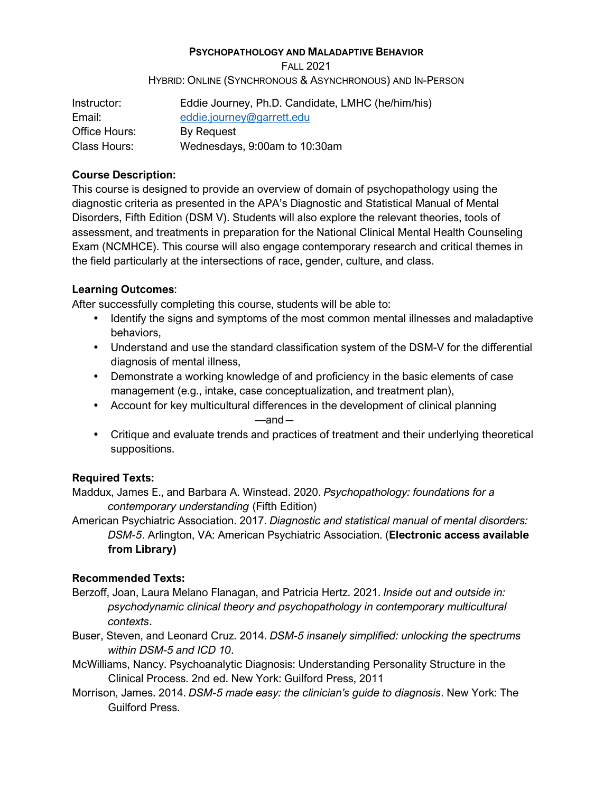#### **PSYCHOPATHOLOGY AND MALADAPTIVE BEHAVIOR**

FALL 2021 HYBRID: ONLINE (SYNCHRONOUS & ASYNCHRONOUS) AND IN-PERSON

| Instructor:   | Eddie Journey, Ph.D. Candidate, LMHC (he/him/his) |  |  |
|---------------|---------------------------------------------------|--|--|
| Email:        | eddie.journey@garrett.edu                         |  |  |
| Office Hours: | By Request                                        |  |  |
| Class Hours:  | Wednesdays, 9:00am to 10:30am                     |  |  |

#### **Course Description:**

This course is designed to provide an overview of domain of psychopathology using the diagnostic criteria as presented in the APA's Diagnostic and Statistical Manual of Mental Disorders, Fifth Edition (DSM V). Students will also explore the relevant theories, tools of assessment, and treatments in preparation for the National Clinical Mental Health Counseling Exam (NCMHCE). This course will also engage contemporary research and critical themes in the field particularly at the intersections of race, gender, culture, and class.

# **Learning Outcomes**:

After successfully completing this course, students will be able to:

- Identify the signs and symptoms of the most common mental illnesses and maladaptive behaviors,
- Understand and use the standard classification system of the DSM-V for the differential diagnosis of mental illness,
- Demonstrate a working knowledge of and proficiency in the basic elements of case management (e.g., intake, case conceptualization, and treatment plan),
- Account for key multicultural differences in the development of clinical planning —and―
- Critique and evaluate trends and practices of treatment and their underlying theoretical suppositions.

# **Required Texts:**

Maddux, James E., and Barbara A. Winstead. 2020. *Psychopathology: foundations for a contemporary understanding* (Fifth Edition)

American Psychiatric Association. 2017. *Diagnostic and statistical manual of mental disorders: DSM-5*. Arlington, VA: American Psychiatric Association. (**Electronic access available from Library)** 

# **Recommended Texts:**

- Berzoff, Joan, Laura Melano Flanagan, and Patricia Hertz. 2021. *Inside out and outside in: psychodynamic clinical theory and psychopathology in contemporary multicultural contexts*.
- Buser, Steven, and Leonard Cruz. 2014. *DSM-5 insanely simplified: unlocking the spectrums within DSM-5 and ICD 10*.
- McWilliams, Nancy. Psychoanalytic Diagnosis: Understanding Personality Structure in the Clinical Process. 2nd ed. New York: Guilford Press, 2011
- Morrison, James. 2014. *DSM-5 made easy: the clinician's guide to diagnosis*. New York: The Guilford Press.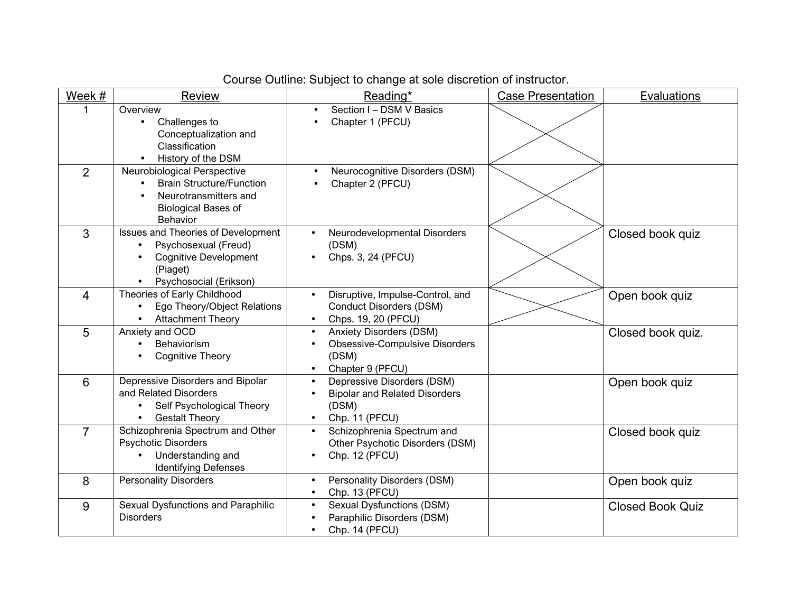| Course Outline: Subject to change at sole discretion of instructor. |  |  |
|---------------------------------------------------------------------|--|--|
|                                                                     |  |  |

| Week #         | Review                                                                                                                                                      | Reading*                                                                                                          | <b>Case Presentation</b> | Evaluations             |
|----------------|-------------------------------------------------------------------------------------------------------------------------------------------------------------|-------------------------------------------------------------------------------------------------------------------|--------------------------|-------------------------|
|                | Overview<br>Challenges to<br>$\bullet$<br>Conceptualization and<br>Classification<br>History of the DSM                                                     | Section I - DSM V Basics<br>Chapter 1 (PFCU)                                                                      |                          |                         |
| $\overline{2}$ | Neurobiological Perspective<br><b>Brain Structure/Function</b><br>$\bullet$<br>Neurotransmitters and<br>$\bullet$<br><b>Biological Bases of</b><br>Behavior | Neurocognitive Disorders (DSM)<br>$\bullet$<br>Chapter 2 (PFCU)                                                   |                          |                         |
| $\overline{3}$ | Issues and Theories of Development<br>Psychosexual (Freud)<br><b>Cognitive Development</b><br>(Piaget)<br>Psychosocial (Erikson)                            | Neurodevelopmental Disorders<br>(DSM)<br>Chps. 3, 24 (PFCU)                                                       |                          | Closed book quiz        |
| $\overline{4}$ | Theories of Early Childhood<br>Ego Theory/Object Relations<br><b>Attachment Theory</b>                                                                      | Disruptive, Impulse-Control, and<br>$\bullet$<br>Conduct Disorders (DSM)<br>Chps. 19, 20 (PFCU)                   |                          | Open book quiz          |
| 5              | Anxiety and OCD<br>Behaviorism<br><b>Cognitive Theory</b>                                                                                                   | <b>Anxiety Disorders (DSM)</b><br>$\bullet$<br><b>Obsessive-Compulsive Disorders</b><br>(DSM)<br>Chapter 9 (PFCU) |                          | Closed book quiz.       |
| 6              | Depressive Disorders and Bipolar<br>and Related Disorders<br>Self Psychological Theory<br><b>Gestalt Theory</b>                                             | Depressive Disorders (DSM)<br><b>Bipolar and Related Disorders</b><br>(DSM)<br>Chp. 11 (PFCU)                     |                          | Open book quiz          |
| $\overline{7}$ | Schizophrenia Spectrum and Other<br>Psychotic Disorders<br>Understanding and<br><b>Identifying Defenses</b>                                                 | Schizophrenia Spectrum and<br>$\bullet$<br>Other Psychotic Disorders (DSM)<br>Chp. 12 (PFCU)                      |                          | Closed book quiz        |
| 8              | <b>Personality Disorders</b>                                                                                                                                | Personality Disorders (DSM)<br>Chp. 13 (PFCU)<br>$\bullet$                                                        |                          | Open book quiz          |
| 9              | Sexual Dysfunctions and Paraphilic<br><b>Disorders</b>                                                                                                      | Sexual Dysfunctions (DSM)<br>$\bullet$<br>Paraphilic Disorders (DSM)<br>Chp. 14 (PFCU)<br>$\bullet$               |                          | <b>Closed Book Quiz</b> |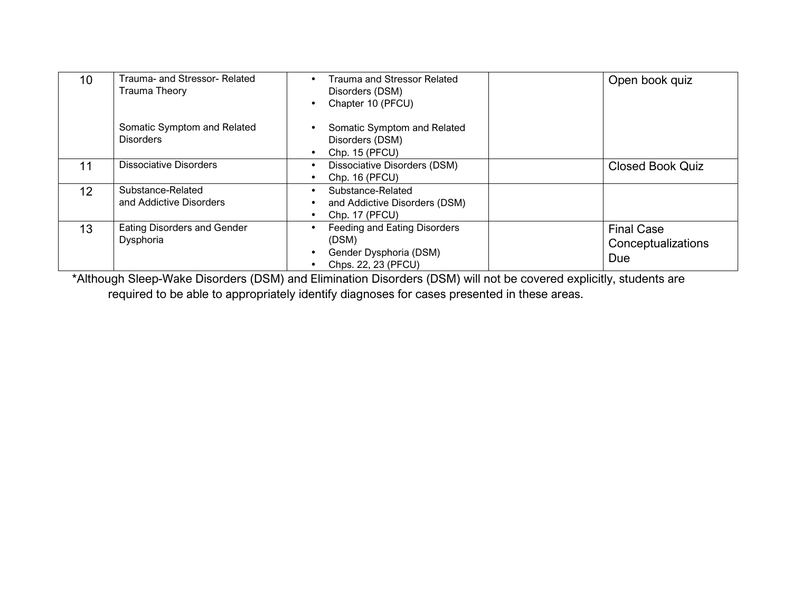| 10                | Trauma- and Stressor- Related<br>Trauma Theory  | Trauma and Stressor Related<br>Disorders (DSM)<br>Chapter 10 (PFCU)                    | Open book quiz                                 |
|-------------------|-------------------------------------------------|----------------------------------------------------------------------------------------|------------------------------------------------|
|                   | Somatic Symptom and Related<br><b>Disorders</b> | Somatic Symptom and Related<br>Disorders (DSM)<br>Chp. 15 (PFCU)                       |                                                |
| 11                | <b>Dissociative Disorders</b>                   | Dissociative Disorders (DSM)<br>Chp. 16 (PFCU)                                         | <b>Closed Book Quiz</b>                        |
| $12 \overline{ }$ | Substance-Related<br>and Addictive Disorders    | Substance-Related<br>and Addictive Disorders (DSM)<br>Chp. 17 (PFCU)                   |                                                |
| 13                | Eating Disorders and Gender<br>Dysphoria        | Feeding and Eating Disorders<br>(DSM)<br>Gender Dysphoria (DSM)<br>Chps. 22, 23 (PFCU) | <b>Final Case</b><br>Conceptualizations<br>Due |

\*Although Sleep-Wake Disorders (DSM) and Elimination Disorders (DSM) will not be covered explicitly, students are required to be able to appropriately identify diagnoses for cases presented in these areas.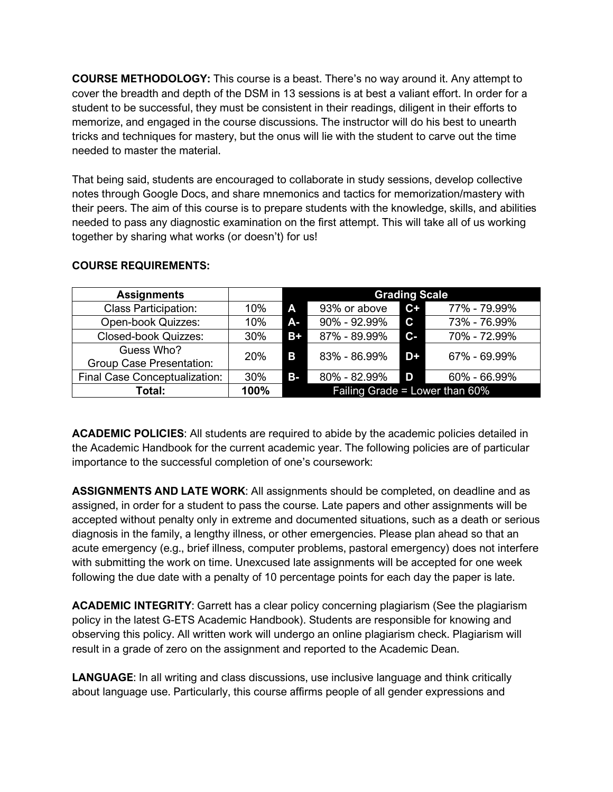**COURSE METHODOLOGY:** This course is a beast. There's no way around it. Any attempt to cover the breadth and depth of the DSM in 13 sessions is at best a valiant effort. In order for a student to be successful, they must be consistent in their readings, diligent in their efforts to memorize, and engaged in the course discussions. The instructor will do his best to unearth tricks and techniques for mastery, but the onus will lie with the student to carve out the time needed to master the material.

That being said, students are encouraged to collaborate in study sessions, develop collective notes through Google Docs, and share mnemonics and tactics for memorization/mastery with their peers. The aim of this course is to prepare students with the knowledge, skills, and abilities needed to pass any diagnostic examination on the first attempt. This will take all of us working together by sharing what works (or doesn't) for us!

| <b>Assignments</b>                            |            | <b>Grading Scale</b>              |              |              |              |
|-----------------------------------------------|------------|-----------------------------------|--------------|--------------|--------------|
| <b>Class Participation:</b>                   | 10%        | A                                 | 93% or above | $C+$         | 77% - 79.99% |
| Open-book Quizzes:                            | 10%        | A-i                               | 90% - 92.99% | $\mathbf{C}$ | 73% - 76.99% |
| <b>Closed-book Quizzes:</b>                   | 30%        | $B+$                              | 87% - 89.99% | $c-$         | 70% - 72.99% |
| Guess Who?<br><b>Group Case Presentation:</b> | <b>20%</b> | B                                 | 83% - 86.99% | D+           | 67% - 69.99% |
| Final Case Conceptualization:                 | 30%        | <b>B-</b>                         | 80% - 82.99% | D            | 60% - 66.99% |
| Total:                                        | 100%       | Failing Grade = Lower than $60\%$ |              |              |              |

#### **COURSE REQUIREMENTS:**

**ACADEMIC POLICIES**: All students are required to abide by the academic policies detailed in the Academic Handbook for the current academic year. The following policies are of particular importance to the successful completion of one's coursework:

**ASSIGNMENTS AND LATE WORK**: All assignments should be completed, on deadline and as assigned, in order for a student to pass the course. Late papers and other assignments will be accepted without penalty only in extreme and documented situations, such as a death or serious diagnosis in the family, a lengthy illness, or other emergencies. Please plan ahead so that an acute emergency (e.g., brief illness, computer problems, pastoral emergency) does not interfere with submitting the work on time. Unexcused late assignments will be accepted for one week following the due date with a penalty of 10 percentage points for each day the paper is late.

**ACADEMIC INTEGRITY**: Garrett has a clear policy concerning plagiarism (See the plagiarism policy in the latest G-ETS Academic Handbook). Students are responsible for knowing and observing this policy. All written work will undergo an online plagiarism check. Plagiarism will result in a grade of zero on the assignment and reported to the Academic Dean.

**LANGUAGE**: In all writing and class discussions, use inclusive language and think critically about language use. Particularly, this course affirms people of all gender expressions and